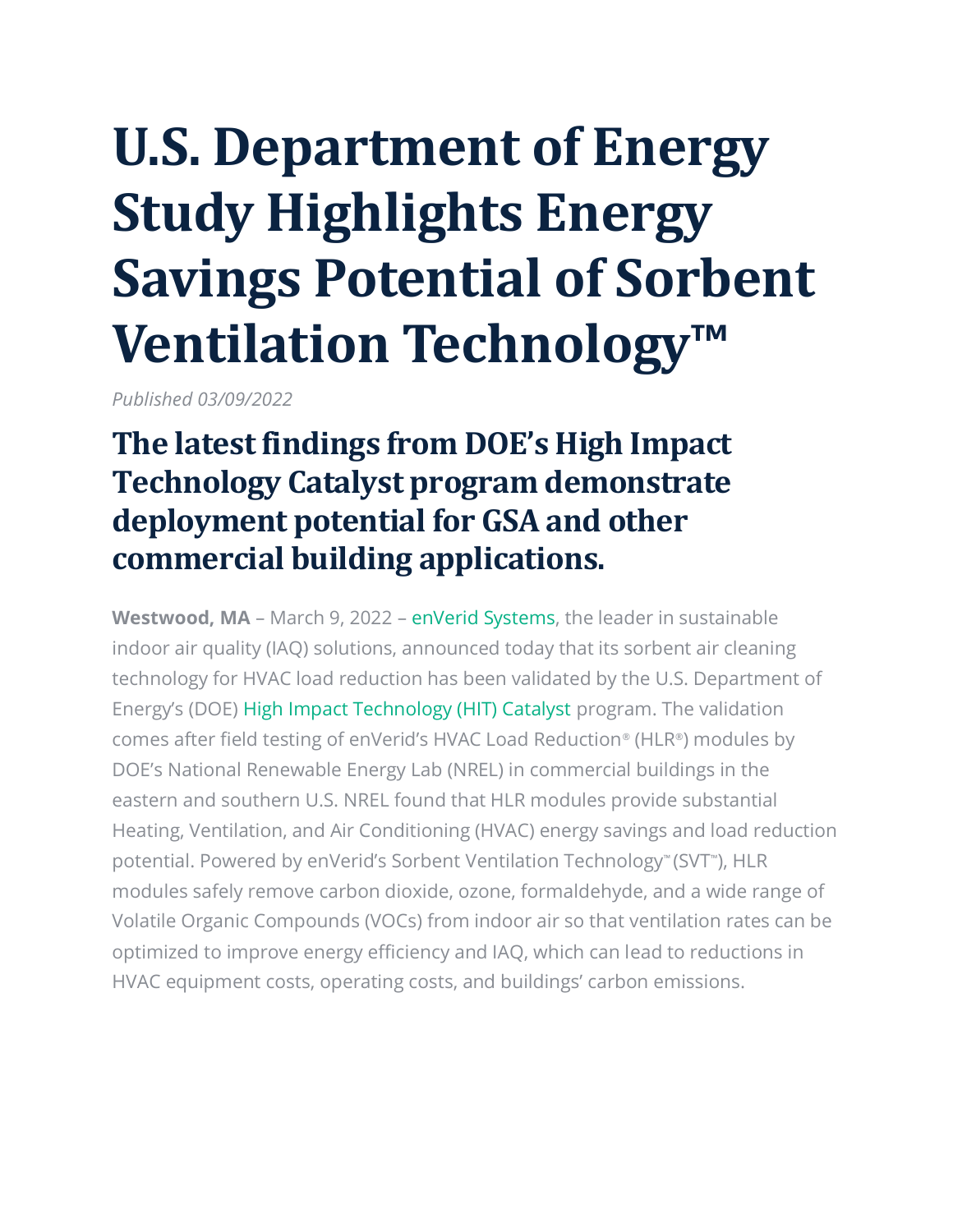# **U.S. Department of Energy Study Highlights Energy Savings Potential of Sorbent Ventilation Technology™**

*Published 03/09/2022*

## **The latest findings from DOE's High Impact Technology Catalyst program demonstrate deployment potential for GSA and other commercial building applications.**

**Westwood, MA** – March 9, 2022 – [enVerid Systems,](https://enverid.com/) the leader in sustainable indoor air quality (IAQ) solutions, announced today that its sorbent air cleaning technology for HVAC load reduction has been validated by the U.S. Department of Energy's (DOE) [High Impact Technology \(HIT\) Catalyst](https://www.energy.gov/eere/buildings/high-impact-technology-catalyst) program. The validation comes after field testing of enVerid's HVAC Load Reduction® (HLR®) modules by DOE's National Renewable Energy Lab (NREL) in commercial buildings in the eastern and southern U.S. NREL found that HLR modules provide substantial Heating, Ventilation, and Air Conditioning (HVAC) energy savings and load reduction potential. Powered by enVerid's Sorbent Ventilation Technology™ (SVT™ ), HLR modules safely remove carbon dioxide, ozone, formaldehyde, and a wide range of Volatile Organic Compounds (VOCs) from indoor air so that ventilation rates can be optimized to improve energy efficiency and IAQ, which can lead to reductions in HVAC equipment costs, operating costs, and buildings' carbon emissions.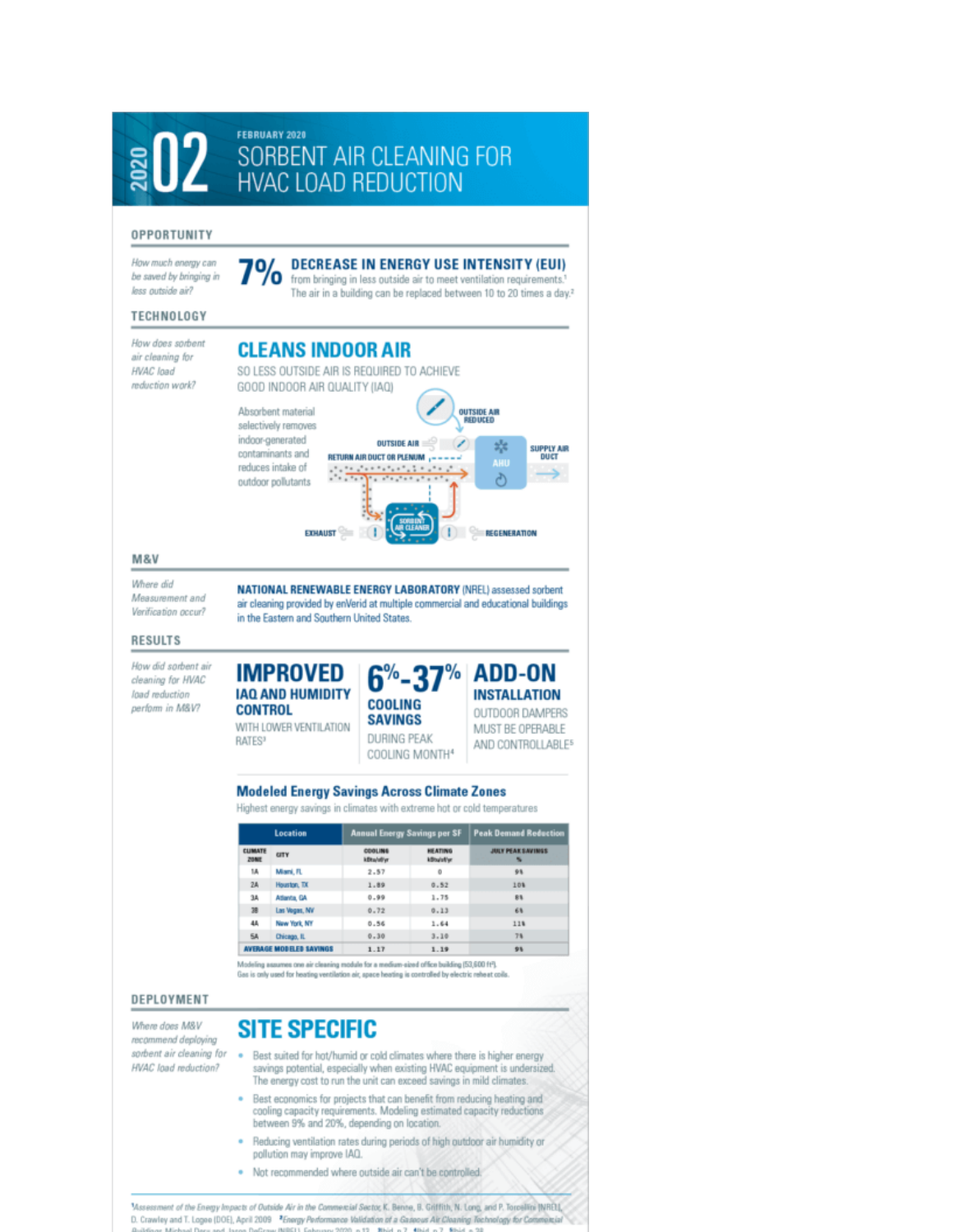

. Not recommended where outside air can't be controlled.

Masessment of the Energy Impacts of Outside Air in the Commercial Sector, K. Benne, B. Griffith, N. Long, and P. Torcellini [NRD], D. Crawley and T. Logoe (DOE), April 2009 <sup>2</sup> Energy Performance Validation of a Gaseous Air Cleaning Technology for Com Professor (Millell) Exterior 20  $-25 - 35 + 14$ The Atlantic **S. Bould**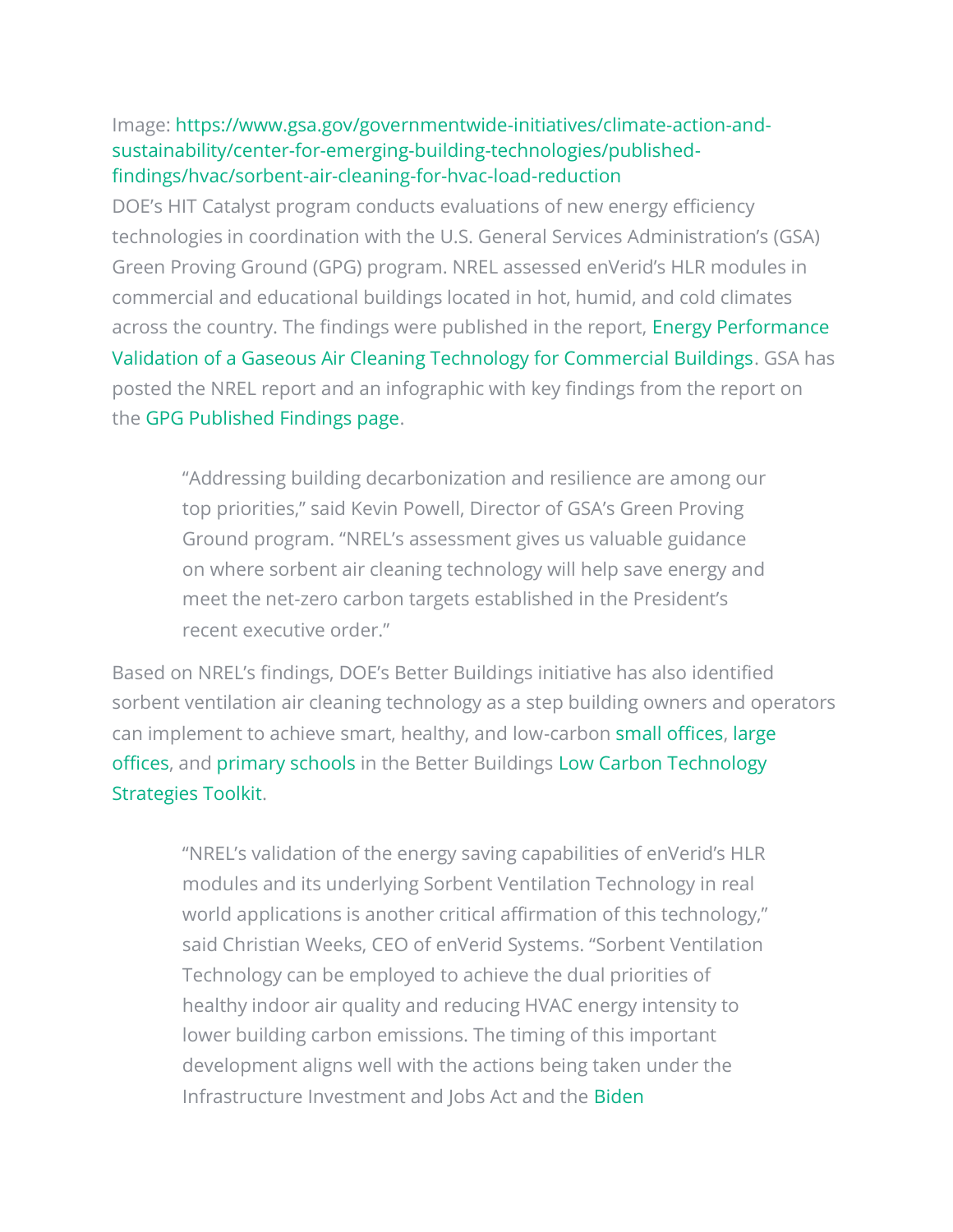#### Image: [https://www.gsa.gov/governmentwide-initiatives/climate-action-and](https://www.gsa.gov/governmentwide-initiatives/climate-action-and-sustainability/center-for-emerging-building-technologies/published-findings/hvac/sorbent-air-cleaning-for-hvac-load-reduction)[sustainability/center-for-emerging-building-technologies/published](https://www.gsa.gov/governmentwide-initiatives/climate-action-and-sustainability/center-for-emerging-building-technologies/published-findings/hvac/sorbent-air-cleaning-for-hvac-load-reduction)[findings/hvac/sorbent-air-cleaning-for-hvac-load-reduction](https://www.gsa.gov/governmentwide-initiatives/climate-action-and-sustainability/center-for-emerging-building-technologies/published-findings/hvac/sorbent-air-cleaning-for-hvac-load-reduction)

DOE's HIT Catalyst program conducts evaluations of new energy efficiency technologies in coordination with the U.S. General Services Administration's (GSA) Green Proving Ground (GPG) program. NREL assessed enVerid's HLR modules in commercial and educational buildings located in hot, humid, and cold climates across the country. The findings were published in the report, [Energy Performance](https://www.nrel.gov/docs/fy20osti/74545.pdf)  [Validation of a Gaseous Air Cleaning Technology for Commercial Buildings.](https://www.nrel.gov/docs/fy20osti/74545.pdf) GSA has posted the NREL report and an infographic with key findings from the report on the [GPG Published Findings page.](https://www.gsa.gov/governmentwide-initiatives/climate-action-and-sustainability/center-for-emerging-building-technologies/published-findings/hvac/sorbent-air-cleaning-for-hvac-load-reduction)

"Addressing building decarbonization and resilience are among our top priorities," said Kevin Powell, Director of GSA's Green Proving Ground program. "NREL's assessment gives us valuable guidance on where sorbent air cleaning technology will help save energy and meet the net-zero carbon targets established in the President's recent executive order."

Based on NREL's findings, DOE's Better Buildings initiative has also identified sorbent ventilation air cleaning technology as a step building owners and operators can implement to achieve smart, healthy, and low-carbon [small offices,](https://betterbuildingssolutioncenter.energy.gov/sites/default/files/attachments/Small_Office_BB_Carbon_Strategies.pdf) [large](https://betterbuildingssolutioncenter.energy.gov/sites/default/files/attachments/Large_Office_BB_Carbon_Strategies.pdf)  [offices,](https://betterbuildingssolutioncenter.energy.gov/sites/default/files/attachments/Large_Office_BB_Carbon_Strategies.pdf) and [primary schools](https://betterbuildingssolutioncenter.energy.gov/sites/default/files/attachments/Primary_School_BB_Carbon_Strategies.pdf) in the Better Buildings [Low Carbon Technology](https://betterbuildingssolutioncenter.energy.gov/toolkits/low-carbon-technology-strategies-toolkit)  [Strategies Toolkit.](https://betterbuildingssolutioncenter.energy.gov/toolkits/low-carbon-technology-strategies-toolkit)

"NREL's validation of the energy saving capabilities of enVerid's HLR modules and its underlying Sorbent Ventilation Technology in real world applications is another critical affirmation of this technology," said Christian Weeks, CEO of enVerid Systems. "Sorbent Ventilation Technology can be employed to achieve the dual priorities of healthy indoor air quality and reducing HVAC energy intensity to lower building carbon emissions. The timing of this important development aligns well with the actions being taken under the Infrastructure Investment and Jobs Act and the [Biden](https://www.whitehouse.gov/briefing-room/statements-releases/2021/12/08/fact-sheet-president-biden-signs-executive-order-catalyzing-americas-clean-energy-economy-through-federal-sustainability/)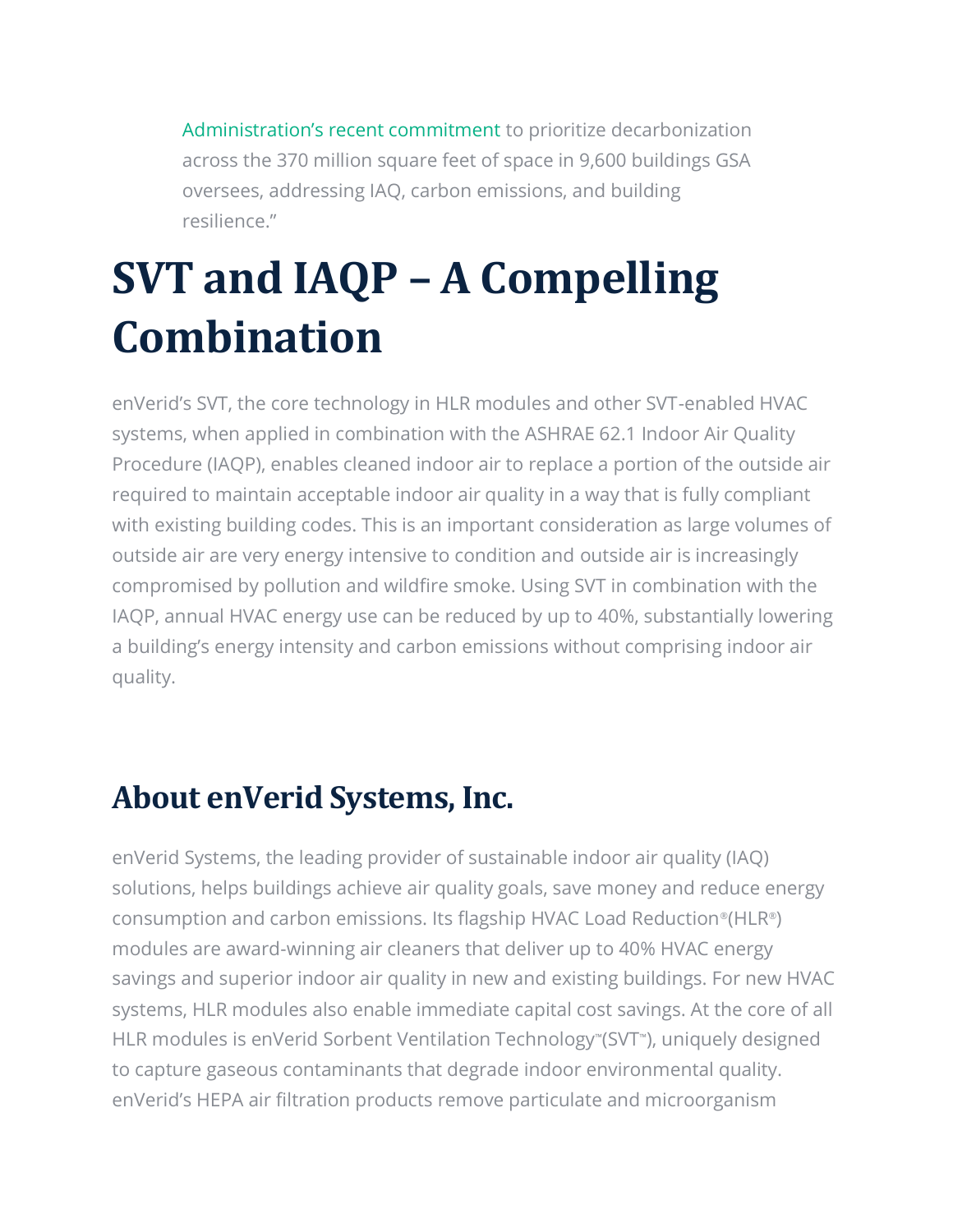[Administration's recent commitment](https://www.whitehouse.gov/briefing-room/statements-releases/2021/12/08/fact-sheet-president-biden-signs-executive-order-catalyzing-americas-clean-energy-economy-through-federal-sustainability/) to prioritize decarbonization across the 370 million square feet of space in 9,600 buildings GSA oversees, addressing IAQ, carbon emissions, and building resilience."

## **SVT and IAQP – A Compelling Combination**

enVerid's SVT, the core technology in HLR modules and other SVT-enabled HVAC systems, when applied in combination with the ASHRAE 62.1 Indoor Air Quality Procedure (IAQP), enables cleaned indoor air to replace a portion of the outside air required to maintain acceptable indoor air quality in a way that is fully compliant with existing building codes. This is an important consideration as large volumes of outside air are very energy intensive to condition and outside air is increasingly compromised by pollution and wildfire smoke. Using SVT in combination with the IAQP, annual HVAC energy use can be reduced by up to 40%, substantially lowering a building's energy intensity and carbon emissions without comprising indoor air quality.

## **About enVerid Systems, Inc.**

enVerid Systems, the leading provider of sustainable indoor air quality (IAQ) solutions, helps buildings achieve air quality goals, save money and reduce energy consumption and carbon emissions. Its flagship HVAC Load Reduction®(HLR®) modules are award-winning air cleaners that deliver up to 40% HVAC energy savings and superior indoor air quality in new and existing buildings. For new HVAC systems, HLR modules also enable immediate capital cost savings. At the core of all HLR modules is enVerid Sorbent Ventilation Technology™ (SVT™ ), uniquely designed to capture gaseous contaminants that degrade indoor environmental quality. enVerid's HEPA air filtration products remove particulate and microorganism